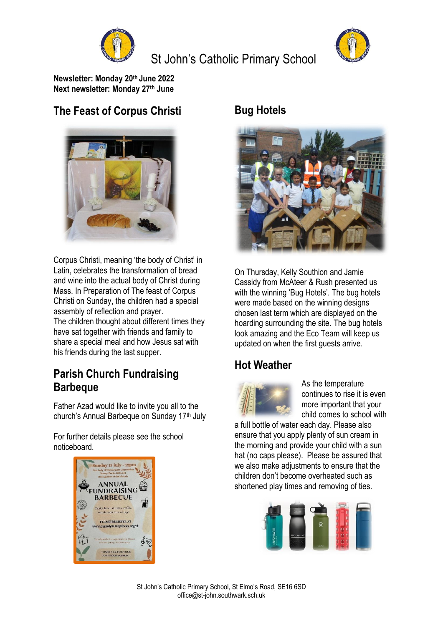

# St John's Catholic Primary School



**Newsletter: Monday 20 th June 2022 Next newsletter: Monday 27 th June**

## **The Feast of Corpus Christi**



Corpus Christi, meaning 'the body of Christ' in Latin, celebrates the transformation of bread and wine into the actual body of Christ during Mass. In Preparation of The feast of Corpus Christi on Sunday, the children had a special assembly of reflection and prayer. The children thought about different times they have sat together with friends and family to share a special meal and how Jesus sat with

#### his friends during the last supper.

### **Parish Church Fundraising Barbeque**

Father Azad would like to invite you all to the church's Annual Barbeque on Sunday 17<sup>th</sup> July

For further details please see the school noticeboard.



#### **Bug Hotels**



On Thursday, Kelly Southion and Jamie Cassidy from McAteer & Rush presented us with the winning 'Bug Hotels'. The bug hotels were made based on the winning designs chosen last term which are displayed on the hoarding surrounding the site. The bug hotels look amazing and the Eco Team will keep us updated on when the first guests arrive.

### **Hot Weather**



As the temperature continues to rise it is even more important that your child comes to school with

a full bottle of water each day. Please also ensure that you apply plenty of sun cream in the morning and provide your child with a sun hat (no caps please). Please be assured that we also make adjustments to ensure that the children don't become overheated such as shortened play times and removing of ties.